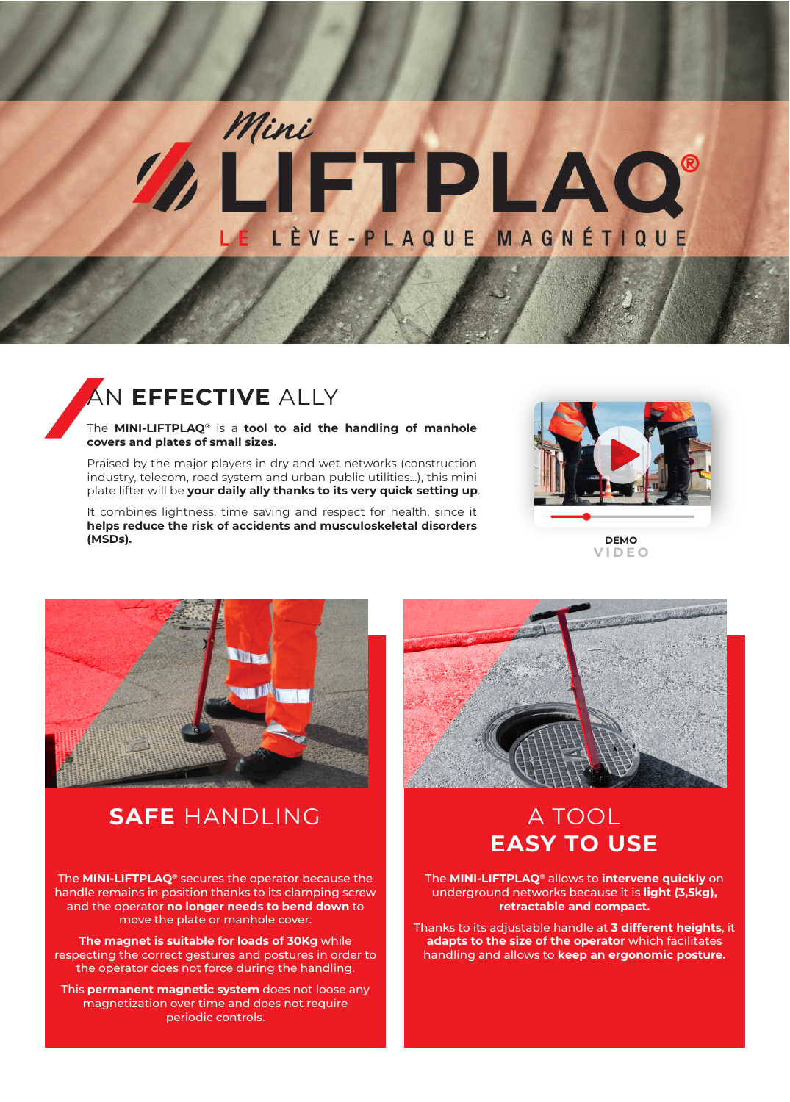## Mini **IFTPLAQ®** E LÈVE-PLAQUE MAGNÉTIQUE

## AN **EFFECTIVE** ALLY

The **MINI-LIFTPLAQ®** is a **tool to aid the handling of manhole covers and plates of small sizes.**

Praised by the major players in dry and wet networks (construction industry, telecom, road system and urban public utilities…), this mini plate lifter will be **your daily ally thanks to its very quick setting up**.

It combines lightness, time saving and respect for health, since it **helps reduce the risk of accidents and musculoskeletal disorders (MSDs).**



**DEMO [VIDEO](https://www.youtube.com/watch?v=beCJoJ7dHzw)**



## **SAFE** HANDLING

The **MINI-LIFTPLAQ®** secures the operator because the handle remains in position thanks to its clamping screw and the operator **no longer needs to bend down** to move the plate or manhole cover.

**The magnet is suitable for loads of 30Kg** while respecting the correct gestures and postures in order to the operator does not force during the handling.

This **permanent magnetic system** does not loose any magnetization over time and does not require periodic controls.



## A TOOL **EASY TO USE**

The **MINI-LIFTPLAQ®** allows to **intervene quickly** on underground networks because it is **light (3,5kg), retractable and compact.**

Thanks to its adjustable handle at **3 different heights**, it **adapts to the size of the operator** which facilitates handling and allows to **keep an ergonomic posture.**